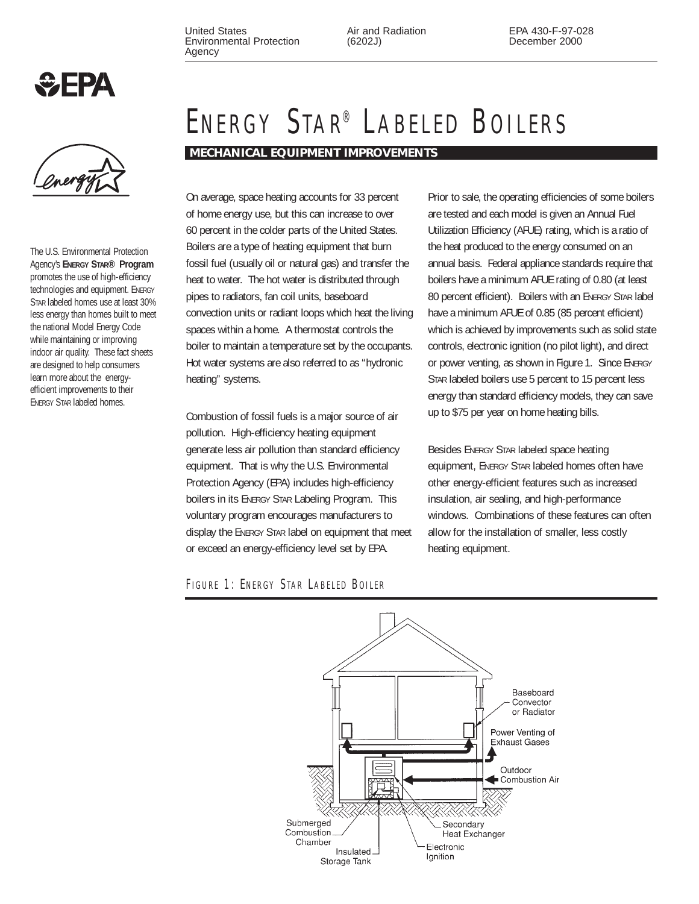United States Environmental Protection Agency

Air and Radiation (6202J)

EPA 430-F-97-028 December 2000



The U.S. Environmental Protection Agency's **ENERGY STAR® Program** promotes the use of high-efficiency technologies and equipment. ENERGY STAR labeled homes use at least 30% less energy than homes built to meet the national Model Energy Code while maintaining or improving indoor air quality. These fact sheets are designed to help consumers learn more about the energyefficient improvements to their ENERGY STAR labeled homes.

# ENERGY STAR® LABELED BOILERS

**MECHANICAL EQUIPMENT IMPROVEMENTS**

On average, space heating accounts for 33 percent of home energy use, but this can increase to over 60 percent in the colder parts of the United States. Boilers are a type of heating equipment that burn fossil fuel (usually oil or natural gas) and transfer the heat to water. The hot water is distributed through pipes to radiators, fan coil units, baseboard convection units or radiant loops which heat the living spaces within a home. A thermostat controls the boiler to maintain a temperature set by the occupants. Hot water systems are also referred to as "hydronic heating" systems.

Combustion of fossil fuels is a major source of air pollution. High-efficiency heating equipment generate less air pollution than standard efficiency equipment. That is why the U.S. Environmental Protection Agency (EPA) includes high-efficiency boilers in its ENERGY STAR Labeling Program. This voluntary program encourages manufacturers to display the ENERGY STAR label on equipment that meet or exceed an energy-efficiency level set by EPA.

Prior to sale, the operating efficiencies of some boilers are tested and each model is given an Annual Fuel Utilization Efficiency (AFUE) rating, which is a ratio of the heat produced to the energy consumed on an annual basis. Federal appliance standards require that boilers have a minimum AFUE rating of 0.80 (at least 80 percent efficient). Boilers with an ENERGY STAR label have a minimum AFUE of 0.85 (85 percent efficient) which is achieved by improvements such as solid state controls, electronic ignition (no pilot light), and direct or power venting, as shown in Figure 1. Since ENERGY STAR labeled boilers use 5 percent to 15 percent less energy than standard efficiency models, they can save up to \$75 per year on home heating bills.

Besides ENERGY STAR labeled space heating equipment, ENERGY STAR labeled homes often have other energy-efficient features such as increased insulation, air sealing, and high-performance windows. Combinations of these features can often allow for the installation of smaller, less costly heating equipment.